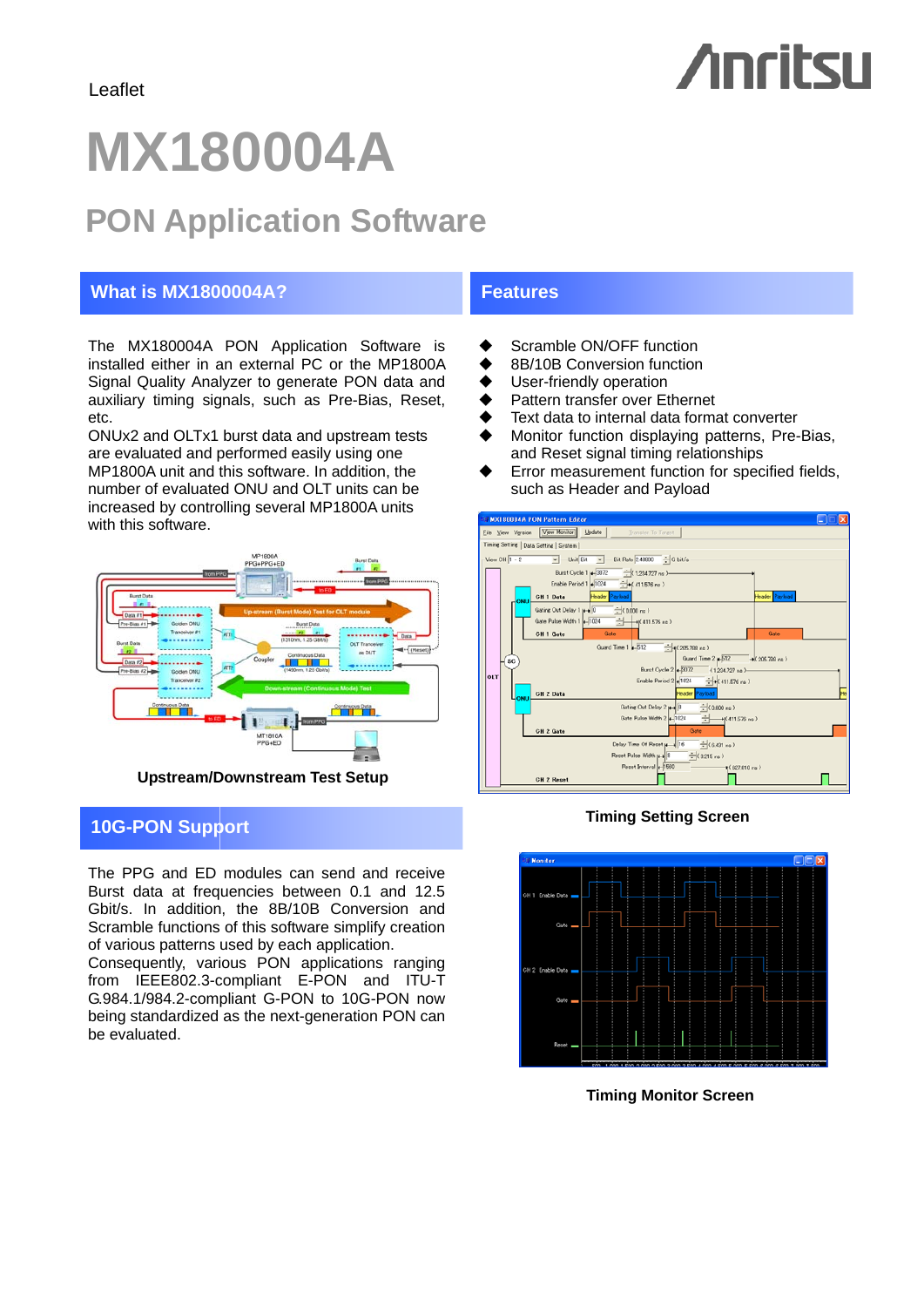# **Anritsu**

## **MX180004A**

## **PON Application Software**

#### **What is MX1800004A?** Features

The MX180004A PON Application Software is installed either in an external PC or the MP1800A Signal Quality Analyzer to generate PON data and auxiliary timing signals, such as Pre-Bias, Reset, etc.

ONUx2 and OLTx1 burst data and upstream tests are evaluated and performed easily using one MP1800A unit and this software. In addition, the number of evaluated ONU and OLT units can be increased by controlling several MP1800A units with this software.



### **Timing Setting Screen 10G-PON Support 10G-PON**

The PPG and ED modules can send and receive Burst data at frequencies between 0.1 and 12.5 Gbit/s. In addition, the 8B/10B Conversion and Scramble functions of this software simplify creation of various patterns used by each application.

Consequently, various PON applications ranging from IEEE802.3-compliant E-PON and ITU-T G.984.1/984.2-compliant G-PON to 10G-PON now being standardized as the next-generation PON can be evaluated.

- ♦ Scramble ON/OFF function
- ◆ 8B/10B Conversion function
- ◆ User-friendly operation
- ◆ Pattern transfer over Ethernet
- Text data to internal data format converter
- ◆ Monitor function displaying patterns, Pre-Bias, and Reset signal timing relationships
- Error measurement function for specified fields, such as Header and Payload





**Timing Monitor Screen**